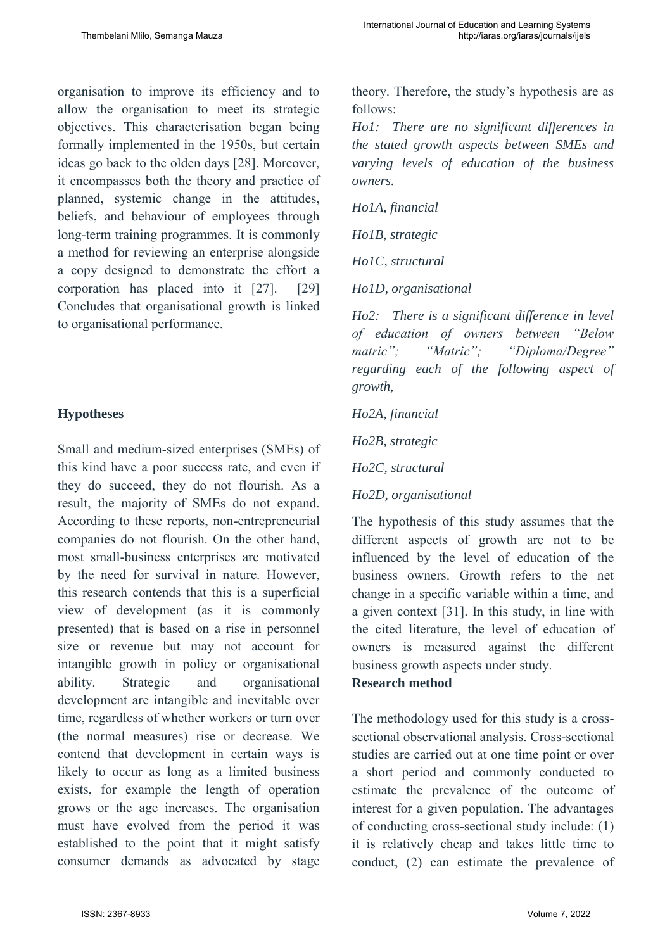organisation to improve its efficiency and to allow the organisation to meet its strategic objectives. This characterisation began being formally implemented in the 1950s, but certain ideas go back to the olden days [28]. Moreover, it encompasses both the theory and practice of planned, systemic change in the attitudes, beliefs, and behaviour of employees through long-term training programmes. It is commonly a method for reviewing an enterprise alongside a copy designed to demonstrate the effort a corporation has placed into it [27]. [29] Concludes that organisational growth is linked to organisational performance.

# **Hypotheses**

Small and medium-sized enterprises (SMEs) of this kind have a poor success rate, and even if they do succeed, they do not flourish. As a result, the majority of SMEs do not expand. According to these reports, non-entrepreneurial companies do not flourish. On the other hand, most small-business enterprises are motivated by the need for survival in nature. However, this research contends that this is a superficial view of development (as it is commonly presented) that is based on a rise in personnel size or revenue but may not account for intangible growth in policy or organisational ability. Strategic and organisational development are intangible and inevitable over time, regardless of whether workers or turn over (the normal measures) rise or decrease. We contend that development in certain ways is likely to occur as long as a limited business exists, for example the length of operation grows or the age increases. The organisation must have evolved from the period it was established to the point that it might satisfy consumer demands as advocated by stage theory. Therefore, the study's hypothesis are as follows:

*Ho1: There are no significant differences in the stated growth aspects between SMEs and varying levels of education of the business owners.* 

*Ho1A, financial* 

*Ho1B, strategic* 

*Ho1C, structural* 

*Ho1D, organisational* 

*Ho2: There is a significant difference in level of education of owners between "Below matric"; "Matric"; "Diploma/Degree" regarding each of the following aspect of growth,* 

### *Ho2A, financial*

*Ho2B, strategic* 

*Ho2C, structural* 

# *Ho2D, organisational*

The hypothesis of this study assumes that the different aspects of growth are not to be influenced by the level of education of the business owners. Growth refers to the net change in a specific variable within a time, and a given context [31]. In this study, in line with the cited literature, the level of education of owners is measured against the different business growth aspects under study.

# **Research method**

The methodology used for this study is a crosssectional observational analysis. Cross-sectional studies are carried out at one time point or over a short period and commonly conducted to estimate the prevalence of the outcome of interest for a given population. The advantages of conducting cross-sectional study include: (1) it is relatively cheap and takes little time to conduct, (2) can estimate the prevalence of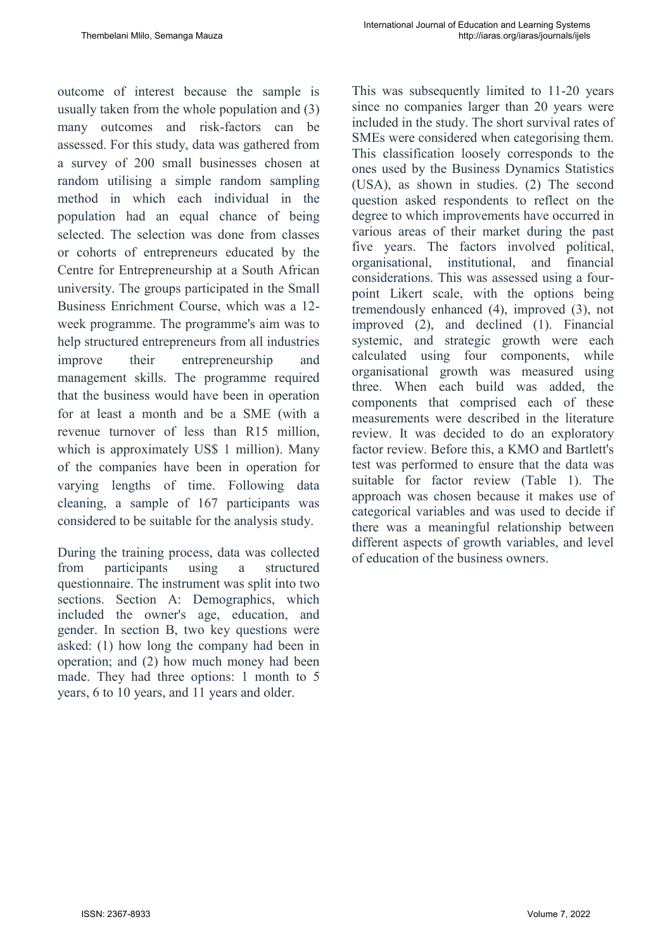outcome of interest because the sample is usually taken from the whole population and (3) many outcomes and risk-factors can be assessed. For this study, data was gathered from a survey of 200 small businesses chosen at random utilising a simple random sampling method in which each individual in the population had an equal chance of being selected. The selection was done from classes or cohorts of entrepreneurs educated by the Centre for Entrepreneurship at a South African university. The groups participated in the Small Business Enrichment Course, which was a 12 week programme. The programme's aim was to help structured entrepreneurs from all industries improve their entrepreneurship and management skills. The programme required that the business would have been in operation for at least a month and be a SME (with a revenue turnover of less than R15 million, which is approximately US\$ 1 million). Many of the companies have been in operation for varying lengths of time. Following data cleaning, a sample of 167 participants was considered to be suitable for the analysis study.

During the training process, data was collected from participants using a structured questionnaire. The instrument was split into two sections. Section A: Demographics, which included the owner's age, education, and gender. In section B, two key questions were asked: (1) how long the company had been in operation; and (2) how much money had been made. They had three options: 1 month to 5 years, 6 to 10 years, and 11 years and older.

This was subsequently limited to 11-20 years since no companies larger than 20 years were included in the study. The short survival rates of SMEs were considered when categorising them. This classification loosely corresponds to the ones used by the Business Dynamics Statistics (USA), as shown in studies. (2) The second question asked respondents to reflect on the degree to which improvements have occurred in various areas of their market during the past five years. The factors involved political, organisational, institutional, and financial considerations. This was assessed using a fourpoint Likert scale, with the options being tremendously enhanced (4), improved (3), not improved (2), and declined (1). Financial systemic, and strategic growth were each calculated using four components, while organisational growth was measured using three. When each build was added, the components that comprised each of these measurements were described in the literature review. It was decided to do an exploratory factor review. Before this, a KMO and Bartlett's test was performed to ensure that the data was suitable for factor review (Table 1). The approach was chosen because it makes use of categorical variables and was used to decide if there was a meaningful relationship between different aspects of growth variables, and level of education of the business owners.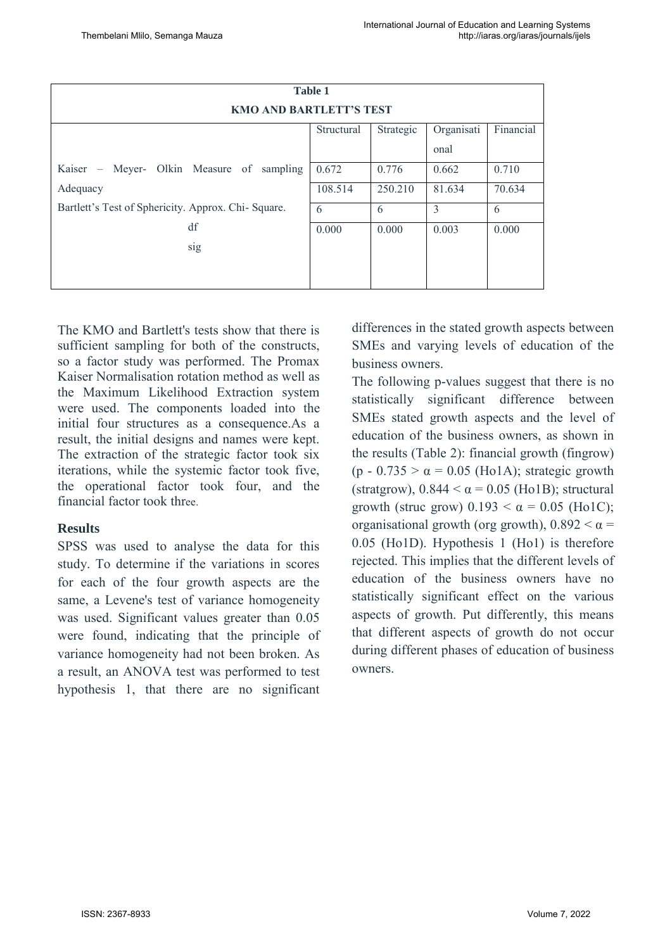| <b>Table 1</b>                                      |            |           |            |           |  |  |  |  |  |
|-----------------------------------------------------|------------|-----------|------------|-----------|--|--|--|--|--|
| <b>KMO AND BARTLETT'S TEST</b>                      |            |           |            |           |  |  |  |  |  |
|                                                     |            |           |            |           |  |  |  |  |  |
|                                                     | Structural | Strategic | Organisati | Financial |  |  |  |  |  |
|                                                     |            |           | onal       |           |  |  |  |  |  |
| Kaiser – Meyer- Olkin Measure of sampling           | 0.672      | 0.776     | 0.662      | 0.710     |  |  |  |  |  |
| Adequacy                                            | 108.514    | 250.210   | 81.634     | 70.634    |  |  |  |  |  |
| Bartlett's Test of Sphericity. Approx. Chi- Square. | 6          | 6         | 3          | 6         |  |  |  |  |  |
| df                                                  | 0.000      | 0.000     | 0.003      | 0.000     |  |  |  |  |  |
| sig                                                 |            |           |            |           |  |  |  |  |  |
|                                                     |            |           |            |           |  |  |  |  |  |
|                                                     |            |           |            |           |  |  |  |  |  |

The KMO and Bartlett's tests show that there is sufficient sampling for both of the constructs, so a factor study was performed. The Promax Kaiser Normalisation rotation method as well as the Maximum Likelihood Extraction system were used. The components loaded into the initial four structures as a consequence.As a result, the initial designs and names were kept. The extraction of the strategic factor took six iterations, while the systemic factor took five, the operational factor took four, and the financial factor took three.

### **Results**

SPSS was used to analyse the data for this study. To determine if the variations in scores for each of the four growth aspects are the same, a Levene's test of variance homogeneity was used. Significant values greater than 0.05 were found, indicating that the principle of variance homogeneity had not been broken. As a result, an ANOVA test was performed to test hypothesis 1, that there are no significant differences in the stated growth aspects between SMEs and varying levels of education of the business owners.

The following p-values suggest that there is no statistically significant difference between SMEs stated growth aspects and the level of education of the business owners, as shown in the results (Table 2): financial growth (fingrow) (p - 0.735  $> \alpha$  = 0.05 (Ho1A); strategic growth (stratgrow),  $0.844 < \alpha = 0.05$  (Ho1B); structural growth (struc grow)  $0.193 < \alpha = 0.05$  (Ho1C); organisational growth (org growth),  $0.892 < \alpha$ 0.05 (Ho1D). Hypothesis 1 (Ho1) is therefore rejected. This implies that the different levels of education of the business owners have no statistically significant effect on the various aspects of growth. Put differently, this means that different aspects of growth do not occur during different phases of education of business owners.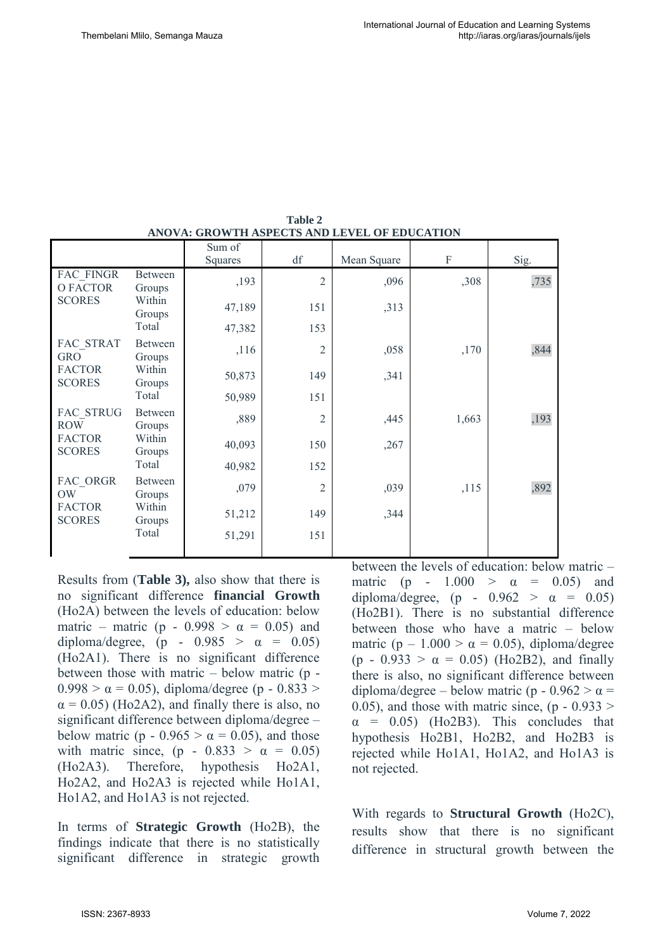| ARO VA, GRO W LII ASI ECTS ARD LEVEL OF EDUCATION         |                           |                   |                |             |       |      |  |  |  |
|-----------------------------------------------------------|---------------------------|-------------------|----------------|-------------|-------|------|--|--|--|
|                                                           |                           | Sum of<br>Squares | df             | Mean Square | F     | Sig. |  |  |  |
| FAC FINGR<br>O FACTOR<br><b>SCORES</b>                    | <b>Between</b><br>Groups  | ,193              | $\overline{2}$ | ,096        | ,308  | ,735 |  |  |  |
|                                                           | Within<br>Groups          | 47,189            | 151            | ,313        |       |      |  |  |  |
|                                                           | Total                     | 47,382            | 153            |             |       |      |  |  |  |
| FAC STRAT<br><b>GRO</b><br><b>FACTOR</b><br><b>SCORES</b> | <b>Between</b><br>Groups  | ,116              | $\overline{2}$ | ,058        | ,170  | ,844 |  |  |  |
|                                                           | Within<br>Groups<br>Total | 50,873            | 149            | ,341        |       |      |  |  |  |
|                                                           |                           | 50,989            | 151            |             |       |      |  |  |  |
| FAC STRUG<br><b>ROW</b><br><b>FACTOR</b><br><b>SCORES</b> | Between<br>Groups         | ,889              | $\overline{2}$ | ,445        | 1,663 | ,193 |  |  |  |
|                                                           | Within<br>Groups<br>Total | 40,093            | 150            | ,267        |       |      |  |  |  |
|                                                           |                           | 40,982            | 152            |             |       |      |  |  |  |
| FAC_ORGR<br><b>OW</b><br><b>FACTOR</b><br><b>SCORES</b>   | Between<br>Groups         | ,079              | $\overline{2}$ | ,039        | ,115  | ,892 |  |  |  |
|                                                           | Within<br>Groups<br>Total | 51,212            | 149            | ,344        |       |      |  |  |  |
|                                                           |                           | 51,291            | 151            |             |       |      |  |  |  |

**Table 2 ANOVA: GROWTH ASPECTS AND LEVEL OF EDUCATION**

Results from (**Table 3),** also show that there is no significant difference **financial Growth** (Ho2A) between the levels of education: below matric – matric (p - 0.998 >  $\alpha$  = 0.05) and diploma/degree, (p -  $0.985 > \alpha = 0.05$ ) (Ho2A1). There is no significant difference between those with matric – below matric (p -  $0.998 > \alpha = 0.05$ ), diploma/degree (p - 0.833 >  $\alpha$  = 0.05) (Ho2A2), and finally there is also, no significant difference between diploma/degree – below matric (p - 0.965  $> \alpha = 0.05$ ), and those with matric since, (p -  $0.833 > \alpha = 0.05$ ) (Ho2A3). Therefore, hypothesis Ho2A1, Ho2A2, and Ho2A3 is rejected while Ho1A1, Ho1A2, and Ho1A3 is not rejected.

In terms of **Strategic Growth** (Ho2B), the findings indicate that there is no statistically significant difference in strategic growth between the levels of education: below matric – matric (p - 1.000 >  $\alpha$  = 0.05) and diploma/degree, (p -  $0.962 > \alpha = 0.05$ ) (Ho2B1). There is no substantial difference between those who have a matric – below matric (p – 1.000 >  $\alpha$  = 0.05), diploma/degree (p - 0.933 >  $\alpha$  = 0.05) (Ho2B2), and finally there is also, no significant difference between diploma/degree – below matric (p -  $0.962 > \alpha$  = 0.05), and those with matric since,  $(p - 0.933$  $\alpha$  = 0.05) (Ho2B3). This concludes that hypothesis Ho2B1, Ho2B2, and Ho2B3 is rejected while Ho1A1, Ho1A2, and Ho1A3 is not rejected.

With regards to **Structural Growth** (Ho2C), results show that there is no significant difference in structural growth between the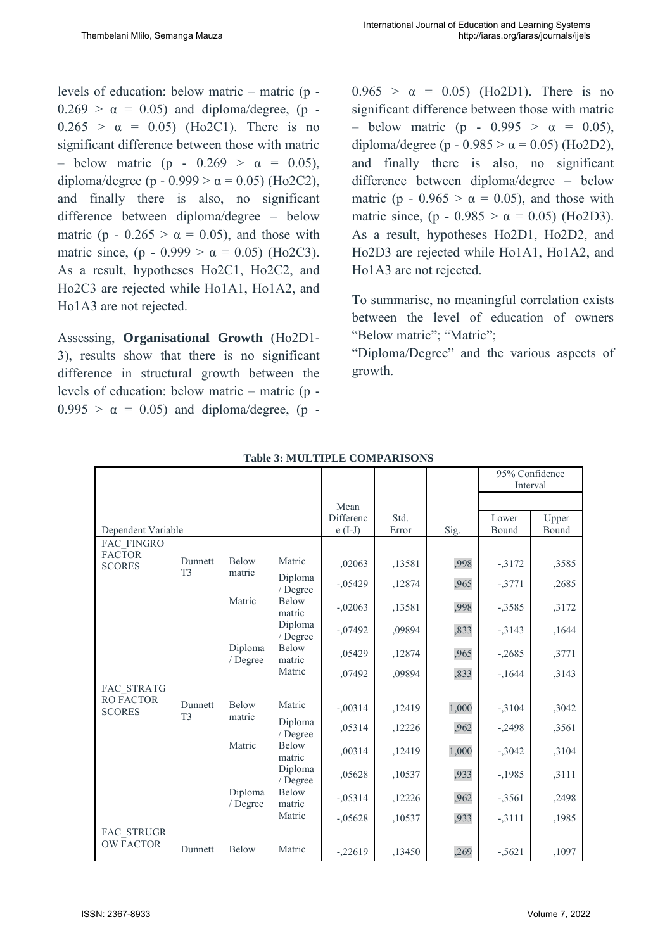levels of education: below matric – matric (p -  $0.269 > \alpha = 0.05$  and diploma/degree, (p - $0.265 > \alpha = 0.05$  (Ho2C1). There is no significant difference between those with matric – below matric (p -  $0.269$  >  $\alpha$  = 0.05), diploma/degree (p - 0.999 >  $\alpha$  = 0.05) (Ho2C2), and finally there is also, no significant difference between diploma/degree – below matric (p - 0.265 >  $\alpha$  = 0.05), and those with matric since, (p - 0.999 >  $\alpha = 0.05$ ) (Ho2C3). As a result, hypotheses Ho2C1, Ho2C2, and Ho2C3 are rejected while Ho1A1, Ho1A2, and Ho1A3 are not rejected.

Assessing, **Organisational Growth** (Ho2D1- 3), results show that there is no significant difference in structural growth between the levels of education: below matric – matric (p -  $0.995 > \alpha = 0.05$ ) and diploma/degree, (p -  $0.965 > \alpha = 0.05$  (Ho2D1). There is no significant difference between those with matric – below matric (p - 0.995  $> \alpha = 0.05$ ), diploma/degree (p - 0.985 >  $\alpha$  = 0.05) (Ho2D2), and finally there is also, no significant difference between diploma/degree – below matric (p - 0.965 >  $\alpha$  = 0.05), and those with matric since, (p - 0.985 >  $\alpha$  = 0.05) (Ho2D3). As a result, hypotheses Ho2D1, Ho2D2, and Ho2D3 are rejected while Ho1A1, Ho1A2, and Ho1A3 are not rejected.

To summarise, no meaningful correlation exists between the level of education of owners "Below matric"; "Matric";

"Diploma/Degree" and the various aspects of growth.

|                                   |                           |                                                  |                       |               |        |                | 95% Confidence<br>Interval |       |
|-----------------------------------|---------------------------|--------------------------------------------------|-----------------------|---------------|--------|----------------|----------------------------|-------|
|                                   |                           |                                                  |                       | Mean          |        |                |                            |       |
| Dependent Variable                |                           |                                                  | Differenc<br>$e(I-J)$ | Std.<br>Error | Sig.   | Lower<br>Bound | Upper<br>Bound             |       |
| FAC FINGRO                        |                           |                                                  |                       |               |        |                |                            |       |
| <b>FACTOR</b><br><b>SCORES</b>    | Dunnett                   | Below<br>matric<br>Matric<br>Diploma             | Matric                | ,02063        | ,13581 | ,998           | $-3172$                    | ,3585 |
|                                   | T <sub>3</sub>            |                                                  | Diploma<br>/ Degree   | $-0.05429$    | ,12874 | ,965           | $-3771$                    | ,2685 |
|                                   |                           |                                                  | Below<br>matric       | $-.02063$     | ,13581 | ,998           | $-3585$                    | ,3172 |
|                                   |                           |                                                  | Diploma<br>/ Degree   | $-.07492$     | ,09894 | ,833           | $-3143$                    | ,1644 |
|                                   | / Degree                  |                                                  | Below<br>matric       | ,05429        | ,12874 | ,965           | $-.2685$                   | ,3771 |
|                                   |                           |                                                  | Matric                | ,07492        | ,09894 | ,833           | $-1644$                    | ,3143 |
| <b>FAC STRATG</b>                 |                           |                                                  |                       |               |        |                |                            |       |
| <b>RO FACTOR</b><br><b>SCORES</b> | Dunnett<br>T <sub>3</sub> | Below<br>matric<br>Matric<br>Diploma<br>/ Degree | Matric                | $-.00314$     | ,12419 | 1,000          | $-3104$                    | ,3042 |
|                                   |                           |                                                  | Diploma<br>/ Degree   | ,05314        | ,12226 | ,962           | $-.2498$                   | ,3561 |
|                                   |                           |                                                  | Below<br>matric       | ,00314        | ,12419 | 1,000          | $-3042$                    | ,3104 |
|                                   |                           |                                                  | Diploma<br>/ Degree   | ,05628        | ,10537 | ,933           | $-1985$                    | ,3111 |
|                                   |                           |                                                  | Below<br>matric       | $-.05314$     | ,12226 | ,962           | $-3561$                    | ,2498 |
|                                   |                           |                                                  | Matric                | $-.05628$     | ,10537 | ,933           | $-3111$                    | ,1985 |
| FAC STRUGR<br><b>OW FACTOR</b>    | Dunnett                   | Below                                            | Matric                | $-22619$      | ,13450 | ,269           | $-5621$                    | ,1097 |

**Table 3: MULTIPLE COMPARISONS**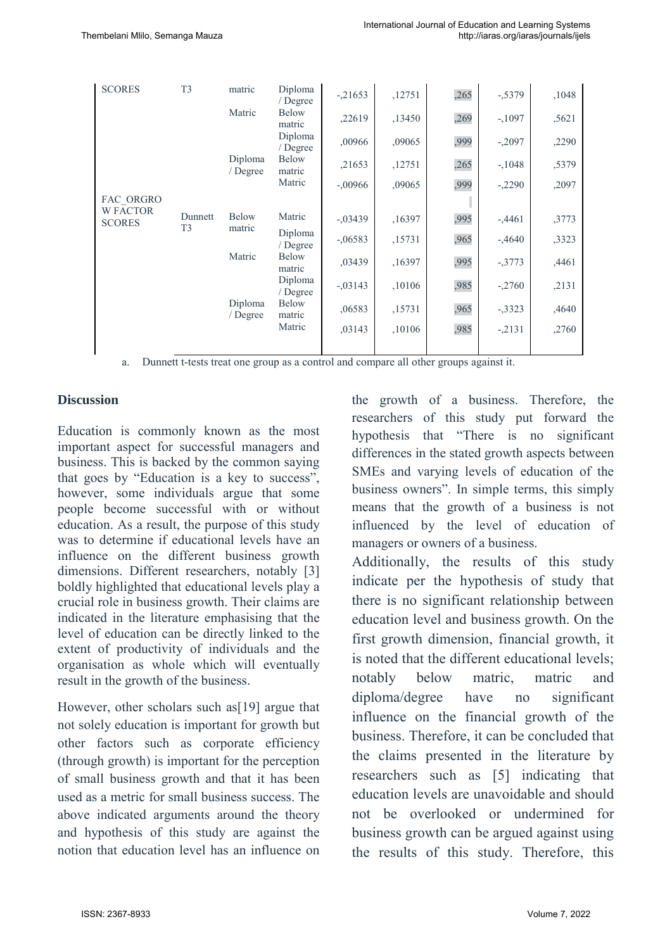| <b>SCORES</b><br>FAC ORGRO<br><b>W FACTOR</b><br><b>SCORES</b> | T <sub>3</sub>            | matric                        | Diploma<br>/ Degree    | $-.21653$ | ,12751 | ,265 | $-5379$   | ,1048 |
|----------------------------------------------------------------|---------------------------|-------------------------------|------------------------|-----------|--------|------|-----------|-------|
|                                                                |                           | Matric                        | <b>Below</b><br>matric | ,22619    | ,13450 | ,269 | $-,1097$  | ,5621 |
|                                                                |                           |                               | Diploma<br>/ Degree    | ,00966    | ,09065 | ,999 | $-2097$   | ,2290 |
|                                                                |                           | Diploma<br>/ Degree           | <b>Below</b><br>matric | ,21653    | ,12751 | ,265 | $-.1048$  | ,5379 |
|                                                                |                           |                               | Matric                 | $-.00966$ | ,09065 | ,999 | $-2290$   | ,2097 |
|                                                                |                           |                               |                        |           |        |      |           |       |
|                                                                | Dunnett<br>T <sub>3</sub> | Below                         | Matric                 | $-.03439$ | ,16397 | ,995 | $-34461$  | ,3773 |
|                                                                |                           | matric                        | Diploma<br>/ Degree    | $-.06583$ | ,15731 | ,965 | $-0.4640$ | ,3323 |
|                                                                |                           | Matric<br>Diploma<br>/ Degree | <b>Below</b><br>matric | ,03439    | ,16397 | ,995 | $-3773$   | ,4461 |
|                                                                |                           |                               | Diploma<br>/ Degree    | $-.03143$ | ,10106 | ,985 | $-2760$   | ,2131 |
|                                                                |                           |                               | <b>Below</b><br>matric | ,06583    | ,15731 | ,965 | $-3323$   | ,4640 |
|                                                                |                           |                               | Matric                 | ,03143    | ,10106 | ,985 | $-2131$   | ,2760 |
|                                                                |                           |                               |                        |           |        |      |           |       |

a. Dunnett t-tests treat one group as a control and compare all other groups against it.

#### **Discussion**

Education is commonly known as the most important aspect for successful managers and business. This is backed by the common saying that goes by "Education is a key to success", however, some individuals argue that some people become successful with or without education. As a result, the purpose of this study was to determine if educational levels have an influence on the different business growth dimensions. Different researchers, notably [3] boldly highlighted that educational levels play a crucial role in business growth. Their claims are indicated in the literature emphasising that the level of education can be directly linked to the extent of productivity of individuals and the organisation as whole which will eventually result in the growth of the business.

However, other scholars such as[19] argue that not solely education is important for growth but other factors such as corporate efficiency (through growth) is important for the perception of small business growth and that it has been used as a metric for small business success. The above indicated arguments around the theory and hypothesis of this study are against the notion that education level has an influence on the growth of a business. Therefore, the researchers of this study put forward the hypothesis that "There is no significant differences in the stated growth aspects between SMEs and varying levels of education of the business owners". In simple terms, this simply means that the growth of a business is not influenced by the level of education of managers or owners of a business.

Additionally, the results of this study indicate per the hypothesis of study that there is no significant relationship between education level and business growth. On the first growth dimension, financial growth, it is noted that the different educational levels; notably below matric, matric and diploma/degree have no significant influence on the financial growth of the business. Therefore, it can be concluded that the claims presented in the literature by researchers such as [5] indicating that education levels are unavoidable and should not be overlooked or undermined for business growth can be argued against using the results of this study. Therefore, this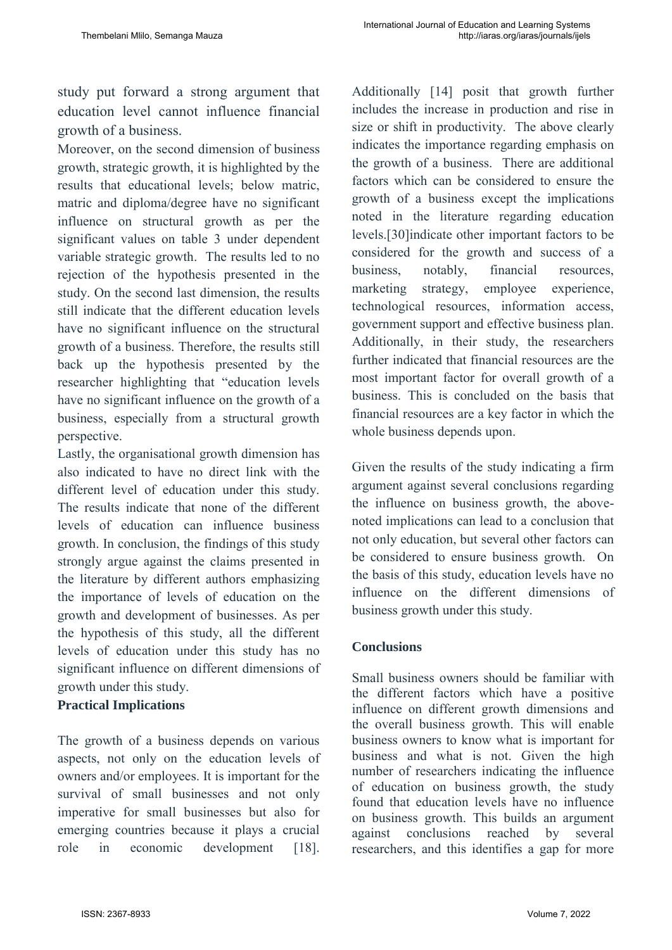study put forward a strong argument that education level cannot influence financial growth of a business.

Moreover, on the second dimension of business growth, strategic growth, it is highlighted by the results that educational levels; below matric, matric and diploma/degree have no significant influence on structural growth as per the significant values on table 3 under dependent variable strategic growth. The results led to no rejection of the hypothesis presented in the study. On the second last dimension, the results still indicate that the different education levels have no significant influence on the structural growth of a business. Therefore, the results still back up the hypothesis presented by the researcher highlighting that "education levels have no significant influence on the growth of a business, especially from a structural growth perspective.

Lastly, the organisational growth dimension has also indicated to have no direct link with the different level of education under this study. The results indicate that none of the different levels of education can influence business growth. In conclusion, the findings of this study strongly argue against the claims presented in the literature by different authors emphasizing the importance of levels of education on the growth and development of businesses. As per the hypothesis of this study, all the different levels of education under this study has no significant influence on different dimensions of growth under this study.

### **Practical Implications**

The growth of a business depends on various aspects, not only on the education levels of owners and/or employees. It is important for the survival of small businesses and not only imperative for small businesses but also for emerging countries because it plays a crucial role in economic development [18].

Additionally [14] posit that growth further includes the increase in production and rise in size or shift in productivity. The above clearly indicates the importance regarding emphasis on the growth of a business. There are additional factors which can be considered to ensure the growth of a business except the implications noted in the literature regarding education levels.[30]indicate other important factors to be considered for the growth and success of a business, notably, financial resources, marketing strategy, employee experience, technological resources, information access, government support and effective business plan. Additionally, in their study, the researchers further indicated that financial resources are the most important factor for overall growth of a business. This is concluded on the basis that financial resources are a key factor in which the whole business depends upon.

Given the results of the study indicating a firm argument against several conclusions regarding the influence on business growth, the abovenoted implications can lead to a conclusion that not only education, but several other factors can be considered to ensure business growth. On the basis of this study, education levels have no influence on the different dimensions of business growth under this study.

# **Conclusions**

Small business owners should be familiar with the different factors which have a positive influence on different growth dimensions and the overall business growth. This will enable business owners to know what is important for business and what is not. Given the high number of researchers indicating the influence of education on business growth, the study found that education levels have no influence on business growth. This builds an argument against conclusions reached by several researchers, and this identifies a gap for more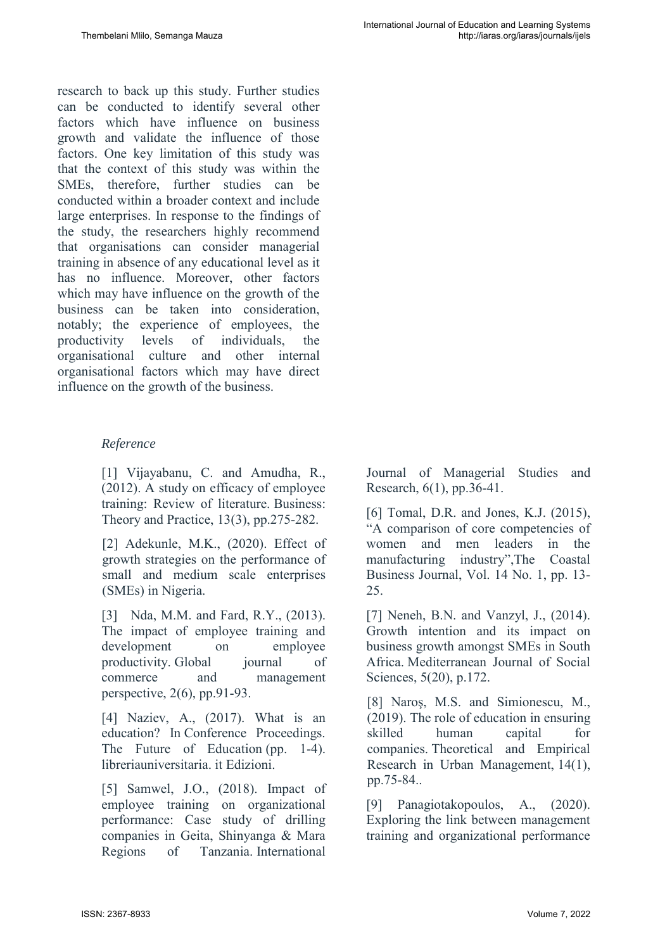research to back up this study. Further studies can be conducted to identify several other factors which have influence on business growth and validate the influence of those factors. One key limitation of this study was that the context of this study was within the SMEs, therefore, further studies can be conducted within a broader context and include large enterprises. In response to the findings of the study, the researchers highly recommend that organisations can consider managerial training in absence of any educational level as it has no influence. Moreover, other factors which may have influence on the growth of the business can be taken into consideration, notably; the experience of employees, the productivity levels of individuals, the organisational culture and other internal organisational factors which may have direct influence on the growth of the business.

### *Reference*

[1] Vijayabanu, C. and Amudha, R., (2012). A study on efficacy of employee training: Review of literature. Business: Theory and Practice, 13(3), pp.275-282.

[2] Adekunle, M.K., (2020). Effect of growth strategies on the performance of small and medium scale enterprises (SMEs) in Nigeria.

[3] Nda, M.M. and Fard, R.Y., (2013). The impact of employee training and development on employee productivity. Global journal of commerce and management perspective, 2(6), pp.91-93.

[4] Naziev, A., (2017). What is an education? In Conference Proceedings. The Future of Education (pp. 1-4). libreriauniversitaria. it Edizioni.

[5] Samwel, J.O., (2018). Impact of employee training on organizational performance: Case study of drilling companies in Geita, Shinyanga & Mara Regions of Tanzania. International

Journal of Managerial Studies and Research, 6(1), pp.36-41.

[6] Tomal, D.R. and Jones, K.J. (2015). "A comparison of core competencies of women and men leaders in the manufacturing industry",The Coastal Business Journal, Vol. 14 No. 1, pp. 13- 25.

[7] Neneh, B.N. and Vanzyl, J., (2014). Growth intention and its impact on business growth amongst SMEs in South Africa. Mediterranean Journal of Social Sciences, 5(20), p.172.

[8] Naros, M.S. and Simionescu, M., (2019). The role of education in ensuring skilled human capital for companies. Theoretical and Empirical Research in Urban Management, 14(1), pp.75-84..

[9] Panagiotakopoulos, A., (2020). Exploring the link between management training and organizational performance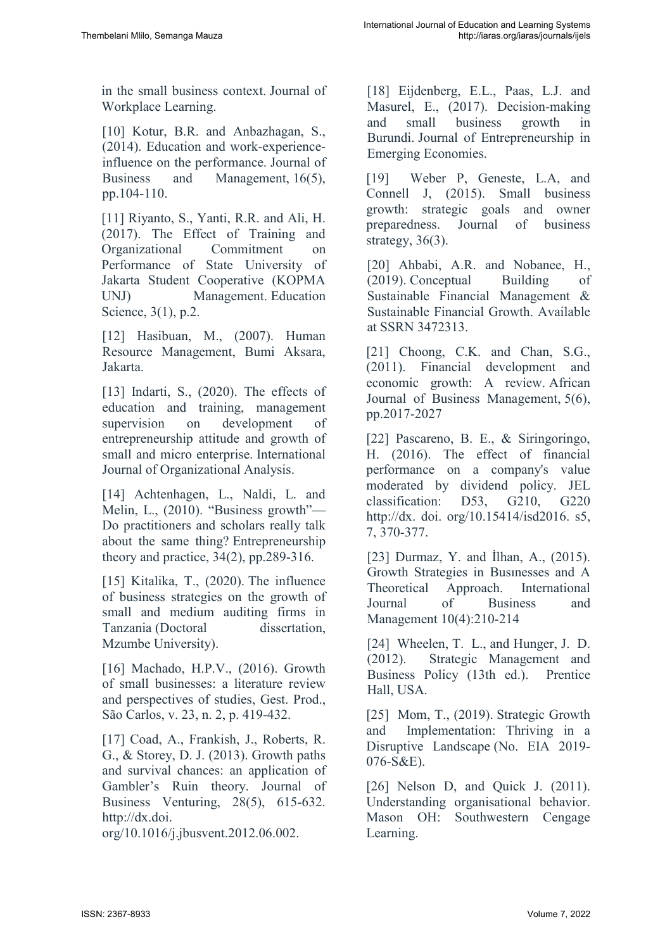in the small business context. Journal of Workplace Learning.

[10] Kotur, B.R. and Anbazhagan, S., (2014). Education and work-experienceinfluence on the performance. Journal of Business and Management, 16(5), pp.104-110.

[11] Riyanto, S., Yanti, R.R. and Ali, H. (2017). The Effect of Training and Organizational Commitment on Performance of State University of Jakarta Student Cooperative (KOPMA UNJ) Management. Education Science, 3(1), p.2.

[12] Hasibuan, M., (2007). Human Resource Management, Bumi Aksara, Jakarta.

[13] Indarti, S., (2020). The effects of education and training, management supervision on development of entrepreneurship attitude and growth of small and micro enterprise. International Journal of Organizational Analysis.

[14] Achtenhagen, L., Naldi, L. and Melin, L., (2010). "Business growth"— Do practitioners and scholars really talk about the same thing? Entrepreneurship theory and practice, 34(2), pp.289-316.

[15] Kitalika, T., (2020). The influence of business strategies on the growth of small and medium auditing firms in Tanzania (Doctoral dissertation, Mzumbe University).

[16] Machado, H.P.V., (2016). Growth of small businesses: a literature review and perspectives of studies, Gest. Prod., São Carlos, v. 23, n. 2, p. 419-432.

[17] Coad, A., Frankish, J., Roberts, R. G., & Storey, D. J. (2013). Growth paths and survival chances: an application of Gambler's Ruin theory. Journal of Business Venturing, 28(5), 615-632. http://dx.doi.

org/10.1016/j.jbusvent.2012.06.002.

[18] Eijdenberg, E.L., Paas, L.J. and Masurel, E., (2017). Decision-making and small business growth in Burundi. Journal of Entrepreneurship in Emerging Economies.

[19] Weber P, Geneste, L.A, and Connell J, (2015). Small business growth: strategic goals and owner preparedness. Journal of business strategy,  $36(3)$ .

[20] Ahbabi, A.R. and Nobanee, H., (2019). Conceptual Building of Sustainable Financial Management & Sustainable Financial Growth. Available at SSRN 3472313.

[21] Choong, C.K. and Chan, S.G., (2011). Financial development and economic growth: A review. African Journal of Business Management, 5(6), pp.2017-2027

[22] Pascareno, B. E., & Siringoringo, H. (2016). The effect of financial performance on a company's value moderated by dividend policy. JEL classification: D53, G210, G220 http://dx. doi. org/10.15414/isd2016. s5, 7, 370-377.

[23] Durmaz, Y. and İlhan, A., (2015). Growth Strategies in Busınesses and A Theoretical Approach. International Journal of Business and Management 10(4):210-214

[24] Wheelen, T. L., and Hunger, J. D. (2012). Strategic Management and Business Policy (13th ed.). Prentice Hall, USA.

[25] Mom, T., (2019). Strategic Growth and Implementation: Thriving in a Disruptive Landscape (No. EIA 2019- 076-S&E).

[26] Nelson D, and Quick J. (2011). Understanding organisational behavior. Mason OH: Southwestern Cengage Learning.